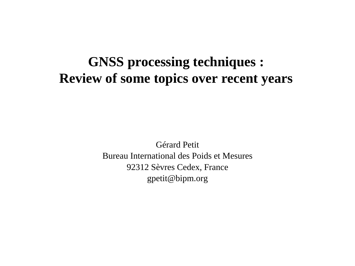# **GNSS processing techniques : Review of some topics over recent years**

Gérard Petit Bureau International des Poids et Mesures 92312 Sèvres Cedex, France gpetit@bipm.org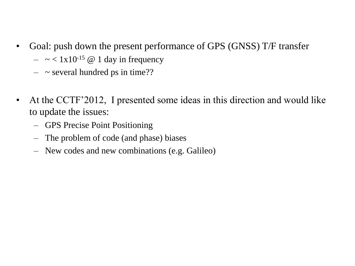- Goal: push down the present performance of GPS (GNSS) T/F transfer
	- $\sim 1x10^{-15}$  @ 1 day in frequency
	- $\sim$  several hundred ps in time??
- At the CCTF'2012, I presented some ideas in this direction and would like to update the issues:
	- GPS Precise Point Positioning
	- The problem of code (and phase) biases
	- New codes and new combinations (e.g. Galileo)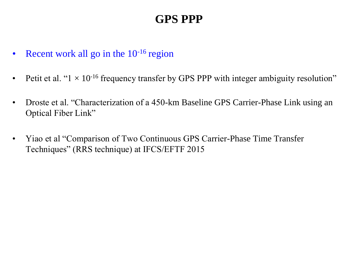# **GPS PPP**

- Recent work all go in the  $10^{-16}$  region
- Petit et al. " $1 \times 10^{-16}$  frequency transfer by GPS PPP with integer ambiguity resolution"
- Droste et al. "Characterization of a 450-km Baseline GPS Carrier-Phase Link using an Optical Fiber Link"
- Yiao et al "Comparison of Two Continuous GPS Carrier-Phase Time Transfer Techniques" (RRS technique) at IFCS/EFTF 2015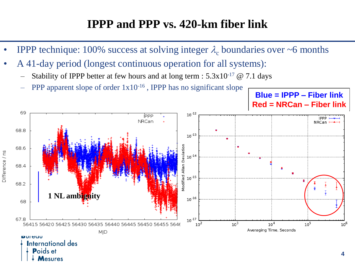#### **IPPP and PPP vs. 420-km fiber link**

- **IPPP** technique: 100% success at solving integer  $\lambda_c$  boundaries over ~6 months
- A 41-day period (longest continuous operation for all systems):
	- Stability of IPPP better at few hours and at long term :  $5.3x10^{-17}$  @ 7.1 days
	- PPP apparent slope of order  $1x10^{-16}$ , IPPP has no significant slope



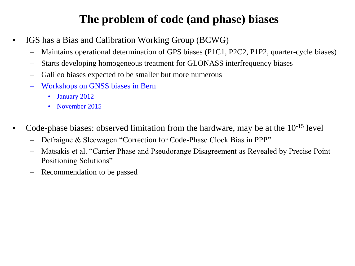## **The problem of code (and phase) biases**

- IGS has a Bias and Calibration Working Group (BCWG)
	- Maintains operational determination of GPS biases (P1C1, P2C2, P1P2, quarter-cycle biases)
	- Starts developing homogeneous treatment for GLONASS interfrequency biases
	- Galileo biases expected to be smaller but more numerous
	- Workshops on GNSS biases in Bern
		- January 2012
		- November 2015
- Code-phase biases: observed limitation from the hardware, may be at the 10-15 level
	- Defraigne & Sleewagen "Correction for Code-Phase Clock Bias in PPP"
	- Matsakis et al. "Carrier Phase and Pseudorange Disagreement as Revealed by Precise Point Positioning Solutions"
	- Recommendation to be passed